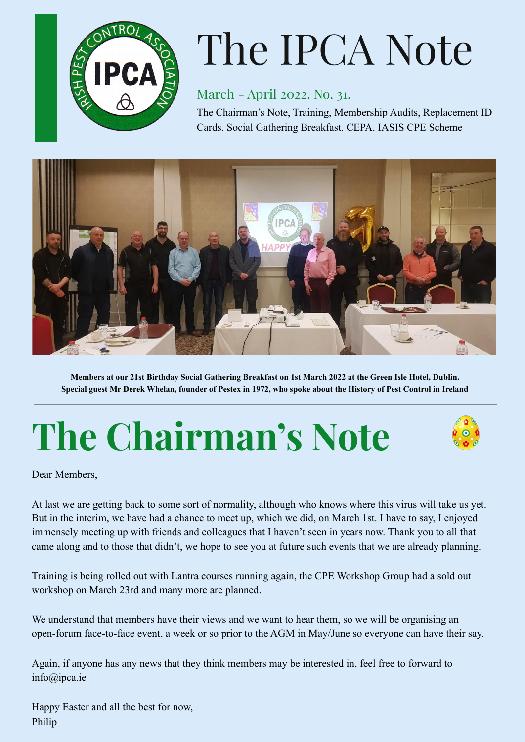

# The IPCA Note

### March - April 2022. No. 31.

The Chairman's Note, Training, Membership Audits, Replacement ID Cards. Social Gathering Breakfast. CEPA. IASIS CPE Scheme



Members at our 21st Birthday Social Gathering Breakfast on 1st March 2022 at the Green Isle Hotel, Dublin. Special guest Mr Derek Whelan, founder of Pestex in 1972, who spoke about the History of Pest Control in Ireland

# **The Chairman's Note**

Dear Members,

At last we are getting back to some sort of normality, although who knows where this virus will take us yet. But in the interim, we have had a chance to meet up, which we did, on March 1st. I have to say, I enjoyed immensely meeting up with friends and colleagues that I haven't seen in years now. Thank you to all that came along and to those that didn't, we hope to see you at future such events that we are already planning.

Training is being rolled out with Lantra courses running again, the CPE Workshop Group had a sold out workshop on March 23rd and many more are planned.

We understand that members have their views and we want to hear them, so we will be organising an open-forum face-to-face event, a week or so prior to the AGM in May/June so everyone can have their say.

Again, if anyone has any news that they think members may be interested in, feel free to forward to info@ipca.ie

Happy Easter and all the best for now, Philip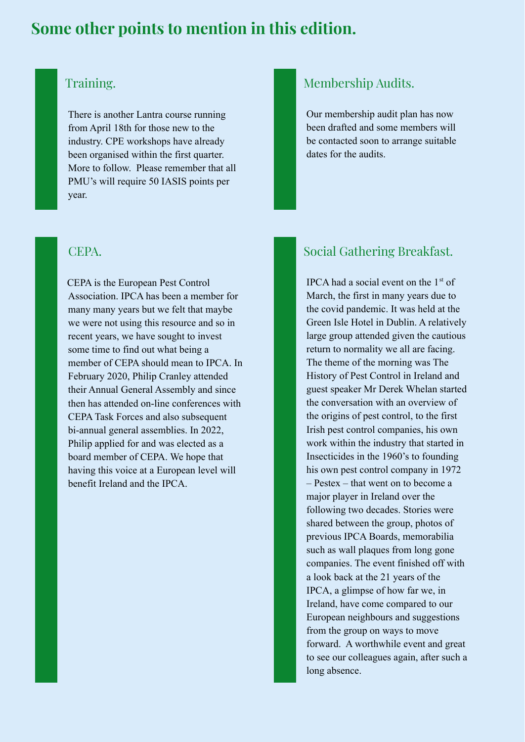# **Some other points to mention in this edition.**



#### Training.

There is another Lantra course running from April 18th for those new to the industry. CPE workshops have already been organised within the first quarter. More to follow. Please remember that all PMU's will require 50 IASIS points per year.

#### CEPA.

CEPA is the European Pest Control Association. IPCA has been a member for many many years but we felt that maybe we were not using this resource and so in recent years, we have sought to invest some time to find out what being a member of CEPA should mean to IPCA. In February 2020, Philip Cranley attended their Annual General Assembly and since then has attended on-line conferences with CEPA Task Forces and also subsequent bi-annual general assemblies. In 2022, Philip applied for and was elected as a board member of CEPA. We hope that having this voice at a European level will benefit Ireland and the IPCA.

## Membership Audits.

Our membership audit plan has now been drafted and some members will be contacted soon to arrange suitable dates for the audits.

# Social Gathering Breakfast.

IPCA had a social event on the 1<sup>st</sup> of March, the first in many years due to the covid pandemic. It was held at the Green Isle Hotel in Dublin. A relatively large group attended given the cautious return to normality we all are facing. The theme of the morning was The History of Pest Control in Ireland and guest speaker Mr Derek Whelan started the conversation with an overview of the origins of pest control, to the first Irish pest control companies, his own work within the industry that started in Insecticides in the 1960's to founding his own pest control company in 1972 – Pestex – that went on to become a major player in Ireland over the following two decades. Stories were shared between the group, photos of previous IPCA Boards, memorabilia such as wall plaques from long gone companies. The event finished off with a look back at the 21 years of the IPCA, a glimpse of how far we, in Ireland, have come compared to our European neighbours and suggestions from the group on ways to move forward. A worthwhile event and great to see our colleagues again, after such a long absence.